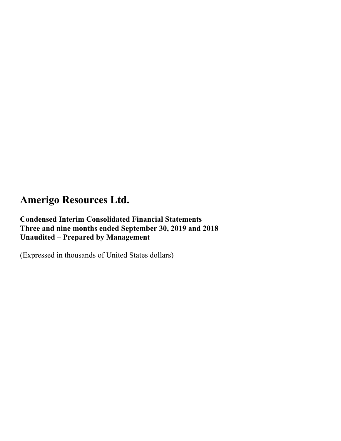**Condensed Interim Consolidated Financial Statements Three and nine months ended September 30, 2019 and 2018 Unaudited – Prepared by Management** 

(Expressed in thousands of United States dollars)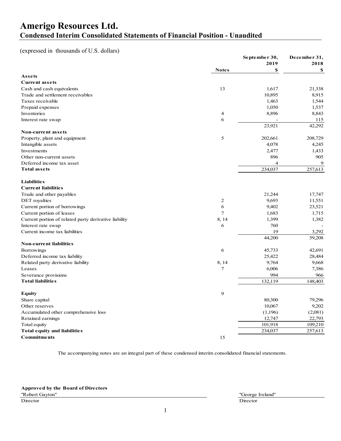### **Amerigo Resources Ltd. Condensed Interim Consolidated Statements of Financial Position - Unaudited**

### (expressed in thousands of U.S. dollars)

|                                                       |                | September 30, | December 31, |
|-------------------------------------------------------|----------------|---------------|--------------|
|                                                       |                | 2019          | 2018         |
| Assets                                                | <b>Notes</b>   | \$            | \$           |
| <b>Current assets</b>                                 |                |               |              |
| Cash and cash equivalents                             | 13             | 1,617         | 21,338       |
| Trade and settlement receivables                      |                | 10,895        | 8,915        |
| Taxes receivable                                      |                | 1,463         | 1,544        |
| Prepaid expenses                                      |                | 1,050         | 1,537        |
| Inventories                                           | $\overline{4}$ | 8,896         | 8,843        |
| Interest rate swap                                    | 6              |               | 115          |
|                                                       |                | 23,921        | 42,292       |
| Non-current assets                                    |                |               |              |
| Property, plant and equipment                         | 5              | 202,661       | 208,729      |
| Intangible assets                                     |                | 4,078         | 4,245        |
| Investments                                           |                | 2,477         | 1,433        |
| Other non-current assets                              |                | 896           | 905          |
| Deferred income tax asset                             |                | 4             | 9            |
| <b>Total assets</b>                                   |                | 234,037       | 257,613      |
|                                                       |                |               |              |
| <b>Liabilities</b>                                    |                |               |              |
| <b>Current liabilities</b>                            |                |               |              |
| Trade and other payables                              |                | 21,244        | 17,747       |
| DET royalties                                         | $\mathbf{2}$   | 9,693         | 11,551       |
| Current portion of borrowings                         | 6              | 9,402         | 23,521       |
| Current portion of leases                             | $\overline{7}$ | 1,683         | 1,715        |
| Current portion of related party derivative liability | 8, 14          | 1,399         | 1,382        |
| Interest rate swap                                    | 6              | 760           |              |
| Current income tax liabilities                        |                | 19            | 3,292        |
| <b>Non-current liabilities</b>                        |                | 44,200        | 59,208       |
| Borrowings                                            | 6              | 45,733        | 42,691       |
| Deferred income tax liability                         |                | 25,422        | 28,484       |
| Related party derivative liability                    | 8, 14          | 9,764         | 9,668        |
| Leases                                                | 7              | 6,006         | 7,386        |
| Severance provisions                                  |                | 994           | 966          |
| <b>Total liabilities</b>                              |                | 132,119       | 148,403      |
|                                                       |                |               |              |
| <b>Equity</b>                                         | 9              |               |              |
| Share capital                                         |                | 80,300        | 79,296       |
| Other reserves                                        |                | 10,067        | 9,202        |
| Accumulated other comprehensive loss                  |                | (1,196)       | (2,081)      |
| Retained earnings                                     |                | 12,747        | 22,793       |
| Total equity                                          |                | 101,918       | 109,210      |
| Total equity and liabilities                          |                | 234,037       | 257,613      |
| <b>Commitments</b>                                    | 15             |               |              |

The accompanying notes are an integral part of these condensed interim consolidated financial statements.

**Approved by the Board of Directors**

**Director** Director **Director**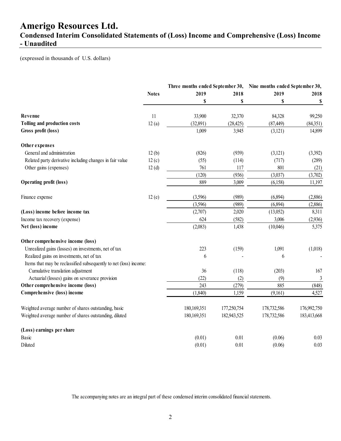### **Condensed Interim Consolidated Statements of (Loss) Income and Comprehensive (Loss) Income - Unaudited**

(expressed in thousands of U.S. dollars)

|                                                                   |              | Three months ended September 30, |             | Nine months ended September 30, |                |
|-------------------------------------------------------------------|--------------|----------------------------------|-------------|---------------------------------|----------------|
|                                                                   | <b>Notes</b> | 2019                             | 2018        | 2019                            | 2018           |
|                                                                   |              | \$                               | \$          | S                               | \$             |
| Revenue                                                           | 11           | 33,900                           | 32,370      | 84,328                          | 99,250         |
| Tolling and production costs                                      | 12(a)        | (32,891)                         | (28, 425)   | (87, 449)                       | (84,351)       |
| Gross profit (loss)                                               |              | 1,009                            | 3,945       | (3, 121)                        | 14,899         |
| Other expenses                                                    |              |                                  |             |                                 |                |
| General and administration                                        | 12(b)        | (826)                            | (939)       | (3,121)                         | (3,392)        |
| Related party derivative including changes in fair value          | 12(c)        | (55)                             | (114)       | (717)                           | (289)          |
| Other gains (expenses)                                            | 12(d)        | 761                              | 117         | 801                             | (21)           |
|                                                                   |              | (120)                            | (936)       | (3,037)                         | (3,702)        |
| Operating profit (loss)                                           |              | 889                              | 3,009       | (6,158)                         | 11,197         |
| Finance expense                                                   | 12(e)        | (3,596)                          | (989)       | (6,894)                         | (2,886)        |
|                                                                   |              | (3,596)                          | (989)       | (6,894)                         | (2,886)        |
| (Loss) income before income tax                                   |              | (2,707)                          | 2,020       | (13,052)                        | 8,311          |
| Income tax recovery (expense)                                     |              | 624                              | (582)       | 3,006                           | (2,936)        |
| Net (loss) income                                                 |              | (2,083)                          | 1,438       | (10,046)                        | 5,375          |
| Other comprehensive income (loss)                                 |              |                                  |             |                                 |                |
| Unrealized gains (losses) on investments, net of tax              |              | 223                              | (159)       | 1,091                           | (1,018)        |
| Realized gains on investments, net of tax                         |              | 6                                |             | 6                               |                |
| Items that may be reclassified subsequently to net (loss) income: |              |                                  |             |                                 |                |
| Cumulative translation adjustment                                 |              | 36                               | (118)       | (203)                           | 167            |
| Actuarial (losses) gains on severance provision                   |              | (22)                             | (2)         | (9)                             | $\mathfrak{Z}$ |
| Other comprehensive income (loss)                                 |              | 243                              | (279)       | 885                             | (848)          |
| Comprehensive (loss) income                                       |              | (1,840)                          | 1,159       | (9,161)                         | 4,527          |
| Weighted average number of shares outstanding, basic              |              | 180,169,351                      | 177,250,754 | 178,732,586                     | 176,992,750    |
| Weighted average number of shares outstanding, diluted            |              | 180,169,351                      | 182,943,525 | 178,732,586                     | 183,413,668    |
| (Loss) earnings per share                                         |              |                                  |             |                                 |                |
| Basic                                                             |              | (0.01)                           | 0.01        | (0.06)                          | 0.03           |
| Diluted                                                           |              | (0.01)                           | 0.01        | (0.06)                          | 0.03           |

The accompanying notes are an integral part of these condensed interim consolidated financial statements.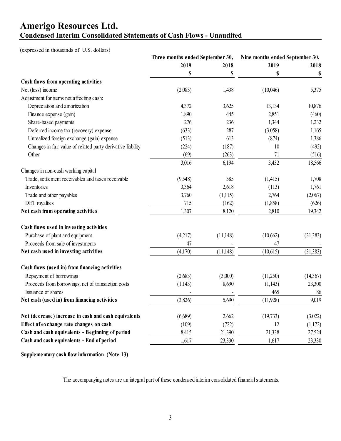### **Amerigo Resources Ltd. Condensed Interim Consolidated Statements of Cash Flows - Unaudited**

(expressed in thousands of U.S. dollars)

|                                                             | Three months ended September 30, |           | Nine months ended September 30, |          |
|-------------------------------------------------------------|----------------------------------|-----------|---------------------------------|----------|
|                                                             | 2019                             | 2018      | 2019                            | 2018     |
|                                                             | \$                               | \$        | \$                              | \$       |
| Cash flows from operating activities                        |                                  |           |                                 |          |
| Net (loss) income                                           | (2,083)                          | 1,438     | (10,046)                        | 5,375    |
| Adjustment for items not affecting cash:                    |                                  |           |                                 |          |
| Depreciation and amortization                               | 4,372                            | 3,625     | 13,134                          | 10,876   |
| Finance expense (gain)                                      | 1,890                            | 445       | 2,851                           | (460)    |
| Share-based payments                                        | 276                              | 236       | 1,344                           | 1,232    |
| Deferred income tax (recovery) expense                      | (633)                            | 287       | (3,058)                         | 1,165    |
| Unrealized foreign exchange (gain) expense                  | (513)                            | 613       | (874)                           | 1,386    |
| Changes in fair value of related party derivative liability | (224)                            | (187)     | 10                              | (492)    |
| Other                                                       | (69)                             | (263)     | 71                              | (516)    |
|                                                             | 3,016                            | 6,194     | 3,432                           | 18,566   |
| Changes in non-cash working capital                         |                                  |           |                                 |          |
| Trade, settlement receivables and taxes receivable          | (9,548)                          | 585       | (1,415)                         | 1,708    |
| Inventories                                                 | 3,364                            | 2,618     | (113)                           | 1,761    |
| Trade and other payables                                    | 3,760                            | (1,115)   | 2,764                           | (2,067)  |
| DET royalties                                               | 715                              | (162)     | (1,858)                         | (626)    |
| Net cash from operating activities                          | 1,307                            | 8,120     | 2,810                           | 19,342   |
| Cash flows used in investing activities                     |                                  |           |                                 |          |
| Purchase of plant and equipment                             | (4,217)                          | (11, 148) | (10,662)                        | (31,383) |
| Proceeds from sale of investments                           | 47                               |           | 47                              |          |
| Net cash used in investing activities                       | (4,170)                          | (11, 148) | (10,615)                        | (31,383) |
| Cash flows (used in) from financing activities              |                                  |           |                                 |          |
| Repayment of borrowings                                     | (2,683)                          | (3,000)   | (11,250)                        | (14,367) |
| Proceeds from borrowings, net of transaction costs          | (1,143)                          | 8,690     | (1,143)                         | 23,300   |
| Issuance of shares                                          |                                  |           | 465                             | 86       |
| Net cash (used in) from financing activities                | (3,826)                          | 5,690     | (11,928)                        | 9,019    |
| Net (decrease) increase in cash and cash equivalents        | (6,689)                          | 2,662     | (19,733)                        | (3,022)  |
| Effect of exchange rate changes on cash                     | (109)                            | (722)     | 12                              | (1,172)  |
| Cash and cash equivalents - Beginning of period             | 8,415                            | 21,390    | 21,338                          | 27,524   |
| Cash and cash equivalents - End of period                   | 1,617                            | 23,330    | 1,617                           | 23,330   |
|                                                             |                                  |           |                                 |          |

**Supplementary cash flow information (Note 13)**

The accompanying notes are an integral part of these condensed interim consolidated financial statements.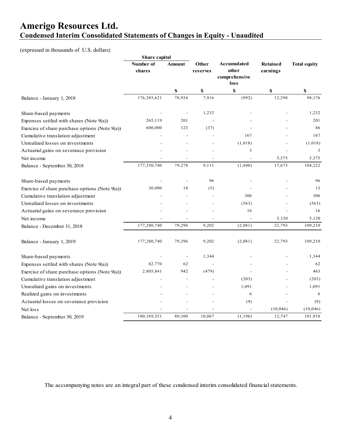### **Amerigo Resources Ltd. Condensed Interim Consolidated Statements of Changes in Equity - Unaudited**

### (expressed in thousands of U.S. dollars)

|                                                   | Share capital       |                          |                   |                       |                             |                     |
|---------------------------------------------------|---------------------|--------------------------|-------------------|-----------------------|-----------------------------|---------------------|
|                                                   | Number of<br>shares | Amount                   | Other<br>reserves | Accumulated<br>other  | <b>Retained</b><br>earnings | <b>Total equity</b> |
|                                                   |                     |                          |                   | comprehensive<br>loss |                             |                     |
|                                                   |                     | \$                       | \$                | \$                    | \$                          | S                   |
| Balance - January 1, 2018                         | 176,385,621         | 78,954                   | 7,916             | (992)                 | 12,298                      | 98,176              |
| Share-based payments                              |                     |                          | 1,232             |                       |                             | 1,232               |
| Expenses settled with shares (Note $9(a)$ )       | 265,119             | 201                      |                   |                       |                             | 201                 |
| Exercise of share purchase options (Note $9(a)$ ) | 600,000             | 123                      | (37)              |                       |                             | 86                  |
| Cumulative translation adjustment                 |                     |                          |                   | 167                   |                             | 167                 |
| Unrealized losses on investments                  |                     |                          |                   | (1,018)               |                             | (1,018)             |
| Actuarial gains on severance provision            |                     |                          |                   | $\mathfrak{Z}$        |                             | 3                   |
| Net income                                        |                     |                          |                   |                       | 5,375                       | 5,375               |
| Balance - September 30, 2018                      | 177,250,740         | 79,278                   | 9,111             | (1, 840)              | 17,673                      | 104,222             |
| Share-based payments                              |                     | Ĭ.                       | 96                |                       |                             | 96                  |
| Exercise of share purchase options (Note $9(a)$ ) | 30,000              | 18                       | (5)               |                       |                             | 13                  |
| Cumulative translation adjustment                 |                     |                          |                   | 306                   |                             | 306                 |
| Unrealized losses on investments                  |                     |                          |                   | (563)                 |                             | (563)               |
| Actuarial gains on severance provision            |                     |                          |                   | 16                    |                             | 16                  |
| Net income                                        |                     |                          |                   |                       | 5,120                       | 5,120               |
| Balance - December 31, 2018                       | 177,280,740         | 79,296                   | 9,202             | (2,081)               | 22,793                      | 109,210             |
| Balance - January 1, 2019                         | 177,280,740         | 79,296                   | 9,202             | (2,081)               | 22,793                      | 109,210             |
| Share-based payments                              |                     | $\overline{\phantom{a}}$ | 1,344             |                       |                             | 1,344               |
| Expenses settled with shares (Note $9(a)$ )       | 82,770              | 62                       |                   |                       |                             | 62                  |
| Exercise of share purchase options (Note 9(a))    | 2,805,841           | 942                      | (479)             |                       |                             | 463                 |
| Cumulative translation adjustment                 |                     |                          |                   | (203)                 |                             | (203)               |
| Unrealized gains on investments                   |                     |                          |                   | 1,091                 |                             | 1,091               |
| Realized gains on investments                     |                     |                          |                   | 6                     |                             | 6                   |
| Actuarial losses on severance provision           |                     |                          |                   | (9)                   |                             | (9)                 |
| Net loss                                          |                     |                          |                   |                       | (10, 046)                   | (10,046)            |
| Balance - September 30, 2019                      | 180,169,351         | 80,300                   | 10,067            | (1, 196)              | 12,747                      | 101,918             |

The accompanying notes are an integral part of these condensed interim consolidated financial statements.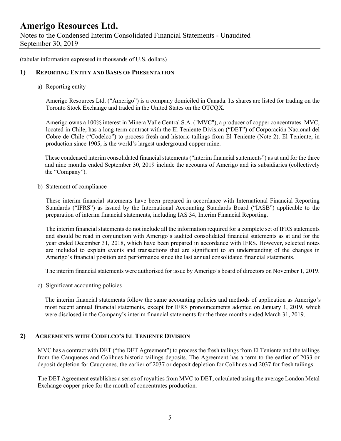Notes to the Condensed Interim Consolidated Financial Statements - Unaudited September 30, 2019

(tabular information expressed in thousands of U.S. dollars)

#### **1) REPORTING ENTITY AND BASIS OF PRESENTATION**

a) Reporting entity

Amerigo Resources Ltd. ("Amerigo") is a company domiciled in Canada. Its shares are listed for trading on the Toronto Stock Exchange and traded in the United States on the OTCQX.

Amerigo owns a 100% interest in Minera Valle Central S.A. ("MVC"), a producer of copper concentrates. MVC, located in Chile, has a long-term contract with the El Teniente Division ("DET") of Corporación Nacional del Cobre de Chile ("Codelco") to process fresh and historic tailings from El Teniente (Note 2). El Teniente, in production since 1905, is the world's largest underground copper mine.

These condensed interim consolidated financial statements ("interim financial statements") as at and for the three and nine months ended September 30, 2019 include the accounts of Amerigo and its subsidiaries (collectively the "Company").

b) Statement of compliance

These interim financial statements have been prepared in accordance with International Financial Reporting Standards ("IFRS") as issued by the International Accounting Standards Board ("IASB") applicable to the preparation of interim financial statements, including IAS 34, Interim Financial Reporting.

The interim financial statements do not include all the information required for a complete set of IFRS statements and should be read in conjunction with Amerigo's audited consolidated financial statements as at and for the year ended December 31, 2018, which have been prepared in accordance with IFRS. However, selected notes are included to explain events and transactions that are significant to an understanding of the changes in Amerigo's financial position and performance since the last annual consolidated financial statements.

The interim financial statements were authorised for issue by Amerigo's board of directors on November 1, 2019.

c) Significant accounting policies

The interim financial statements follow the same accounting policies and methods of application as Amerigo's most recent annual financial statements, except for IFRS pronouncements adopted on January 1, 2019, which were disclosed in the Company's interim financial statements for the three months ended March 31, 2019.

#### **2) AGREEMENTS WITH CODELCO'S EL TENIENTE DIVISION**

MVC has a contract with DET ("the DET Agreement") to process the fresh tailings from El Teniente and the tailings from the Cauquenes and Colihues historic tailings deposits. The Agreement has a term to the earlier of 2033 or deposit depletion for Cauquenes, the earlier of 2037 or deposit depletion for Colihues and 2037 for fresh tailings.

The DET Agreement establishes a series of royalties from MVC to DET, calculated using the average London Metal Exchange copper price for the month of concentrates production.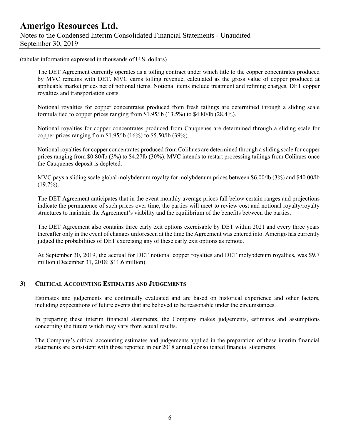(tabular information expressed in thousands of U.S. dollars)

The DET Agreement currently operates as a tolling contract under which title to the copper concentrates produced by MVC remains with DET. MVC earns tolling revenue, calculated as the gross value of copper produced at applicable market prices net of notional items. Notional items include treatment and refining charges, DET copper royalties and transportation costs.

Notional royalties for copper concentrates produced from fresh tailings are determined through a sliding scale formula tied to copper prices ranging from \$1.95/lb (13.5%) to \$4.80/lb (28.4%).

Notional royalties for copper concentrates produced from Cauquenes are determined through a sliding scale for copper prices ranging from \$1.95/lb (16%) to \$5.50/lb (39%).

Notional royalties for copper concentrates produced from Colihues are determined through a sliding scale for copper prices ranging from \$0.80/lb (3%) to \$4.27lb (30%). MVC intends to restart processing tailings from Colihues once the Cauquenes deposit is depleted.

MVC pays a sliding scale global molybdenum royalty for molybdenum prices between \$6.00/lb (3%) and \$40.00/lb  $(19.7\%)$ .

The DET Agreement anticipates that in the event monthly average prices fall below certain ranges and projections indicate the permanence of such prices over time, the parties will meet to review cost and notional royalty/royalty structures to maintain the Agreement's viability and the equilibrium of the benefits between the parties.

The DET Agreement also contains three early exit options exercisable by DET within 2021 and every three years thereafter only in the event of changes unforeseen at the time the Agreement was entered into. Amerigo has currently judged the probabilities of DET exercising any of these early exit options as remote.

At September 30, 2019, the accrual for DET notional copper royalties and DET molybdenum royalties, was \$9.7 million (December 31, 2018: \$11.6 million).

#### **3) CRITICAL ACCOUNTING ESTIMATES AND JUDGEMENTS**

Estimates and judgements are continually evaluated and are based on historical experience and other factors, including expectations of future events that are believed to be reasonable under the circumstances.

In preparing these interim financial statements, the Company makes judgements, estimates and assumptions concerning the future which may vary from actual results.

The Company's critical accounting estimates and judgements applied in the preparation of these interim financial statements are consistent with those reported in our 2018 annual consolidated financial statements.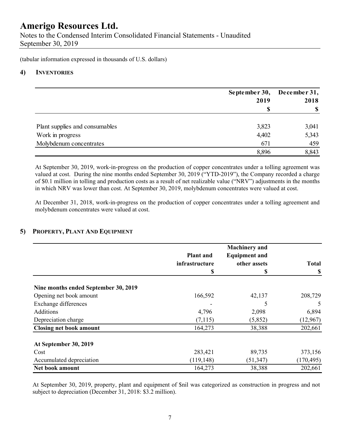Notes to the Condensed Interim Consolidated Financial Statements - Unaudited September 30, 2019

(tabular information expressed in thousands of U.S. dollars)

#### **4) INVENTORIES**

|                                | September 30, December 31, |       |  |
|--------------------------------|----------------------------|-------|--|
|                                | 2019                       | 2018  |  |
|                                |                            | \$    |  |
| Plant supplies and consumables | 3,823                      | 3,041 |  |
| Work in progress               | 4,402                      | 5,343 |  |
| Molybdenum concentrates        | 671                        | 459   |  |
|                                | 8,896                      | 8,843 |  |

At September 30, 2019, work-in-progress on the production of copper concentrates under a tolling agreement was valued at cost. During the nine months ended September 30, 2019 ("YTD-2019"), the Company recorded a charge of \$0.1 million in tolling and production costs as a result of net realizable value ("NRV") adjustments in the months in which NRV was lower than cost. At September 30, 2019, molybdenum concentrates were valued at cost.

At December 31, 2018, work-in-progress on the production of copper concentrates under a tolling agreement and molybdenum concentrates were valued at cost.

### **5) PROPERTY, PLANT AND EQUIPMENT**

|                                      | <b>Plant</b> and<br>infrastructure<br>S | <b>Machinery</b> and<br><b>Equipment and</b><br>other assets<br>S | <b>Total</b><br>\$ |
|--------------------------------------|-----------------------------------------|-------------------------------------------------------------------|--------------------|
| Nine months ended September 30, 2019 |                                         |                                                                   |                    |
| Opening net book amount              | 166,592                                 | 42,137                                                            | 208,729            |
| Exchange differences                 |                                         | 5                                                                 | 5                  |
| Additions                            | 4,796                                   | 2,098                                                             | 6,894              |
| Depreciation charge                  | (7, 115)                                | (5,852)                                                           | (12,967)           |
| <b>Closing net book amount</b>       | 164,273                                 | 38,388                                                            | 202,661            |
| At September 30, 2019                |                                         |                                                                   |                    |
| Cost                                 | 283,421                                 | 89,735                                                            | 373,156            |
| Accumulated depreciation             | (119, 148)                              | (51, 347)                                                         | (170, 495)         |
| Net book amount                      | 164,273                                 | 38,388                                                            | 202,661            |

 At September 30, 2019, property, plant and equipment of \$nil was categorized as construction in progress and not subject to depreciation (December 31, 2018: \$3.2 million).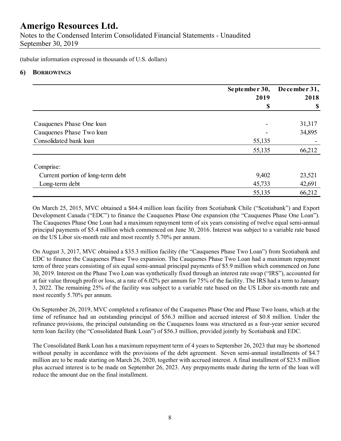Notes to the Condensed Interim Consolidated Financial Statements - Unaudited September 30, 2019

(tabular information expressed in thousands of U.S. dollars)

#### **6) BORROWINGS**

|                                   | September 30, | December 31,<br>2018 |  |
|-----------------------------------|---------------|----------------------|--|
|                                   | 2019          |                      |  |
|                                   | S             | \$                   |  |
| Cauquenes Phase One loan          |               | 31,317               |  |
| Cauquenes Phase Two loan          |               | 34,895               |  |
| Consolidated bank loan            | 55,135        |                      |  |
|                                   | 55,135        | 66,212               |  |
| Comprise:                         |               |                      |  |
| Current portion of long-term debt | 9,402         | 23,521               |  |
| Long-term debt                    | 45,733        | 42,691               |  |
|                                   | 55,135        | 66,212               |  |

On March 25, 2015, MVC obtained a \$64.4 million loan facility from Scotiabank Chile ("Scotiabank") and Export Development Canada ("EDC") to finance the Cauquenes Phase One expansion (the "Cauquenes Phase One Loan"). The Cauquenes Phase One Loan had a maximum repayment term of six years consisting of twelve equal semi-annual principal payments of \$5.4 million which commenced on June 30, 2016. Interest was subject to a variable rate based on the US Libor six-month rate and most recently 5.70% per annum.

On August 3, 2017, MVC obtained a \$35.3 million facility (the "Cauquenes Phase Two Loan") from Scotiabank and EDC to finance the Cauquenes Phase Two expansion. The Cauquenes Phase Two Loan had a maximum repayment term of three years consisting of six equal semi-annual principal payments of \$5.9 million which commenced on June 30, 2019. Interest on the Phase Two Loan was synthetically fixed through an interest rate swap ("IRS"), accounted for at fair value through profit or loss, at a rate of 6.02% per annum for 75% of the facility. The IRS had a term to January 3, 2022. The remaining 25% of the facility was subject to a variable rate based on the US Libor six-month rate and most recently 5.70% per annum.

On September 26, 2019, MVC completed a refinance of the Cauquenes Phase One and Phase Two loans, which at the time of refinance had an outstanding principal of \$56.3 million and accrued interest of \$0.8 million. Under the refinance provisions, the principal outstanding on the Cauquenes loans was structured as a four-year senior secured term loan facility (the "Consolidated Bank Loan") of \$56.3 million, provided jointly by Scotiabank and EDC.

The Consolidated Bank Loan has a maximum repayment term of 4 years to September 26, 2023 that may be shortened without penalty in accordance with the provisions of the debt agreement. Seven semi-annual installments of \$4.7 million are to be made starting on March 26, 2020, together with accrued interest. A final installment of \$23.5 million plus accrued interest is to be made on September 26, 2023. Any prepayments made during the term of the loan will reduce the amount due on the final installment.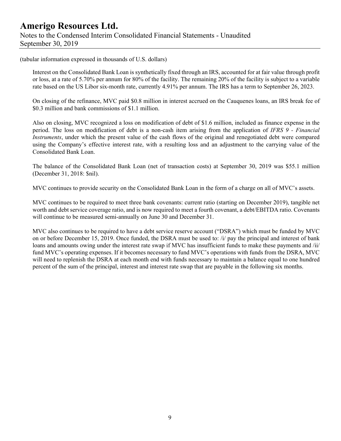### **Amerigo Resources Ltd.**  Notes to the Condensed Interim Consolidated Financial Statements - Unaudited September 30, 2019

(tabular information expressed in thousands of U.S. dollars)

Interest on the Consolidated Bank Loan is synthetically fixed through an IRS, accounted for at fair value through profit or loss, at a rate of 5.70% per annum for 80% of the facility. The remaining 20% of the facility is subject to a variable rate based on the US Libor six-month rate, currently 4.91% per annum. The IRS has a term to September 26, 2023.

On closing of the refinance, MVC paid \$0.8 million in interest accrued on the Cauquenes loans, an IRS break fee of \$0.3 million and bank commissions of \$1.1 million.

Also on closing, MVC recognized a loss on modification of debt of \$1.6 million, included as finance expense in the period. The loss on modification of debt is a non-cash item arising from the application of *IFRS 9 - Financial Instruments*, under which the present value of the cash flows of the original and renegotiated debt were compared using the Company's effective interest rate, with a resulting loss and an adjustment to the carrying value of the Consolidated Bank Loan.

The balance of the Consolidated Bank Loan (net of transaction costs) at September 30, 2019 was \$55.1 million (December 31, 2018: \$nil).

MVC continues to provide security on the Consolidated Bank Loan in the form of a charge on all of MVC's assets.

MVC continues to be required to meet three bank covenants: current ratio (starting on December 2019), tangible net worth and debt service coverage ratio, and is now required to meet a fourth covenant, a debt/EBITDA ratio. Covenants will continue to be measured semi-annually on June 30 and December 31.

MVC also continues to be required to have a debt service reserve account ("DSRA") which must be funded by MVC on or before December 15, 2019. Once funded, the DSRA must be used to: /i/ pay the principal and interest of bank loans and amounts owing under the interest rate swap if MVC has insufficient funds to make these payments and /ii/ fund MVC's operating expenses. If it becomes necessary to fund MVC's operations with funds from the DSRA, MVC will need to replenish the DSRA at each month end with funds necessary to maintain a balance equal to one hundred percent of the sum of the principal, interest and interest rate swap that are payable in the following six months.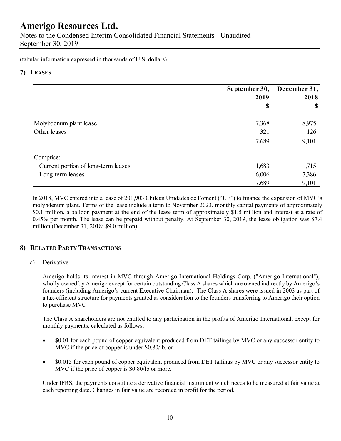Notes to the Condensed Interim Consolidated Financial Statements - Unaudited September 30, 2019

(tabular information expressed in thousands of U.S. dollars)

### **7) LEASES**

|                                     | September 30,<br>2019 | December 31, |  |
|-------------------------------------|-----------------------|--------------|--|
|                                     | \$                    | 2018<br>\$   |  |
|                                     |                       |              |  |
| Molybdenum plant lease              | 7,368                 | 8,975        |  |
| Other leases                        | 321                   | 126          |  |
|                                     | 7,689                 | 9,101        |  |
| Comprise:                           |                       |              |  |
| Current portion of long-term leases | 1,683                 | 1,715        |  |
| Long-term leases                    | 6,006                 | 7,386        |  |
|                                     | 7,689                 | 9,101        |  |

In 2018, MVC entered into a lease of 201,903 Chilean Unidades de Foment ("UF") to finance the expansion of MVC's molybdenum plant. Terms of the lease include a term to November 2023, monthly capital payments of approximately \$0.1 million, a balloon payment at the end of the lease term of approximately \$1.5 million and interest at a rate of 0.45% per month. The lease can be prepaid without penalty. At September 30, 2019, the lease obligation was \$7.4 million (December 31, 2018: \$9.0 million).

### **8) RELATED PARTY TRANSACTIONS**

#### a) Derivative

Amerigo holds its interest in MVC through Amerigo International Holdings Corp. ("Amerigo International"), wholly owned by Amerigo except for certain outstanding Class A shares which are owned indirectly by Amerigo's founders (including Amerigo's current Executive Chairman). The Class A shares were issued in 2003 as part of a tax-efficient structure for payments granted as consideration to the founders transferring to Amerigo their option to purchase MVC

The Class A shareholders are not entitled to any participation in the profits of Amerigo International, except for monthly payments, calculated as follows:

- \$0.01 for each pound of copper equivalent produced from DET tailings by MVC or any successor entity to MVC if the price of copper is under \$0.80/lb, or
- \$0.015 for each pound of copper equivalent produced from DET tailings by MVC or any successor entity to MVC if the price of copper is \$0.80/lb or more.

Under IFRS, the payments constitute a derivative financial instrument which needs to be measured at fair value at each reporting date. Changes in fair value are recorded in profit for the period.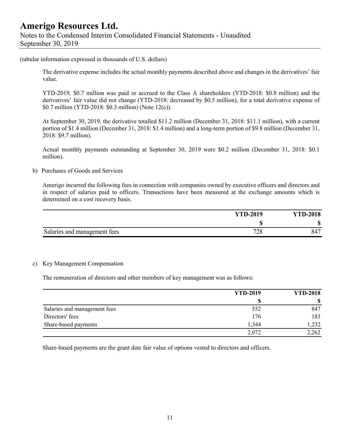(tabular information expressed in thousands of U.S. dollars)

The derivative expense includes the actual monthly payments described above and changes in the derivatives' fair value.

YTD-2019, \$0.7 million was paid or accrued to the Class A shareholders (YTD-2018: \$0.8 million) and the derivatives' fair value did not change (YTD-2018: decreased by \$0.5 million), for a total derivative expense of \$0.7 million (YTD-2018: \$0.3 million) (Note 12(c)).

At September 30, 2019, the derivative totalled \$11.2 million (December 31, 2018: \$11.1 million), with a current portion of \$1.4 million (December 31, 2018: \$1.4 million) and a long-term portion of \$9.8 million (December 31, 2018: \$9.7 million).

Actual monthly payments outstanding at September 30, 2019 were \$0.2 million (December 31, 2018: \$0.1 million).

b) Purchases of Goods and Services

Amerigo incurred the following fees in connection with companies owned by executive officers and directors and in respect of salaries paid to officers. Transactions have been measured at the exchange amounts which is determined on a cost recovery basis.

|                              | <b>YTD-2019</b> | <b>YTD-2018</b> |
|------------------------------|-----------------|-----------------|
|                              | ۱D              | ጡ<br>۰υ         |
| Salaries and management fees | 70.0<br>40      | 847             |

#### c) Key Management Compensation

The remuneration of directors and other members of key management was as follows:

|                              | <b>YTD-2019</b> | <b>YTD-2018</b> |
|------------------------------|-----------------|-----------------|
|                              |                 |                 |
| Salaries and management fees | 552             | 847             |
| Directors' fees              | 176             | 183             |
| Share-based payments         | 1,344           | 1,232           |
|                              | 2,072           | 2,262           |

Share-based payments are the grant date fair value of options vested to directors and officers.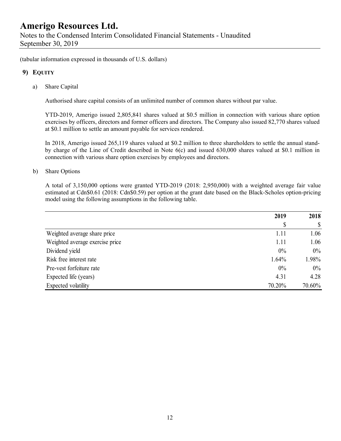(tabular information expressed in thousands of U.S. dollars)

### **9) EQUITY**

a) Share Capital

Authorised share capital consists of an unlimited number of common shares without par value.

YTD-2019, Amerigo issued 2,805,841 shares valued at \$0.5 million in connection with various share option exercises by officers, directors and former officers and directors. The Company also issued 82,770 shares valued at \$0.1 million to settle an amount payable for services rendered.

In 2018, Amerigo issued 265,119 shares valued at \$0.2 million to three shareholders to settle the annual standby charge of the Line of Credit described in Note 6(c) and issued 630,000 shares valued at \$0.1 million in connection with various share option exercises by employees and directors.

b) Share Options

A total of 3,150,000 options were granted YTD-2019 (2018: 2,950,000) with a weighted average fair value estimated at Cdn\$0.61 (2018: Cdn\$0.59) per option at the grant date based on the Black-Scholes option-pricing model using the following assumptions in the following table.

|                                 | 2019   | 2018   |
|---------------------------------|--------|--------|
|                                 | \$     | \$     |
| Weighted average share price    | 1.11   | 1.06   |
| Weighted average exercise price | 1.11   | 1.06   |
| Dividend yield                  | 0%     | $0\%$  |
| Risk free interest rate         | 1.64%  | 1.98%  |
| Pre-vest forfeiture rate        | 0%     | $0\%$  |
| Expected life (years)           | 4.31   | 4.28   |
| Expected volatility             | 70.20% | 70.60% |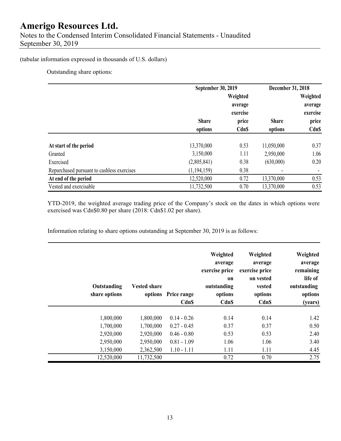### (tabular information expressed in thousands of U.S. dollars)

Outstanding share options:

|                                            | September 30, 2019      |                                 | December 31, 2018       |                                 |
|--------------------------------------------|-------------------------|---------------------------------|-------------------------|---------------------------------|
|                                            |                         | Weighted<br>average<br>exercise |                         | Weighted<br>average<br>exercise |
|                                            | <b>Share</b><br>options | price<br><b>CdnS</b>            | <b>Share</b><br>options | price<br><b>CdnS</b>            |
| At start of the period                     | 13,370,000              | 0.53                            | 11,050,000              | 0.37                            |
| Granted                                    | 3,150,000               | 1.11                            | 2,950,000               | 1.06                            |
| Exercised                                  | (2,805,841)             | 0.38                            | (630,000)               | 0.20                            |
| Repurchased pursuant to cashless exercises | (1, 194, 159)           | 0.38                            |                         |                                 |
| At end of the period                       | 12,520,000              | 0.72                            | 13,370,000              | 0.53                            |
| Vested and exercisable                     | 11,732,500              | 0.70                            | 13,370,000              | 0.53                            |

 YTD-2019, the weighted average trading price of the Company's stock on the dates in which options were exercised was Cdn\$0.80 per share (2018: Cdn\$1.02 per share).

Information relating to share options outstanding at September 30, 2019 is as follows:

| Weighted<br>average<br>remaining<br>life of<br>outstanding<br>options<br>(years) | Weighted<br>average<br>exercise price<br>on vested<br>vested<br>options<br><b>Cdn\$</b> | Weighted<br>average<br>exercise price<br><sub>on</sub><br>outstanding<br>options<br>Cdn\$ | Price range<br>Cdn\$ | <b>Vested share</b><br>options | Outstanding<br>share options |  |
|----------------------------------------------------------------------------------|-----------------------------------------------------------------------------------------|-------------------------------------------------------------------------------------------|----------------------|--------------------------------|------------------------------|--|
| 1.42                                                                             | 0.14                                                                                    | 0.14                                                                                      | $0.14 - 0.26$        | 1,800,000                      | 1,800,000                    |  |
| 0.50                                                                             | 0.37                                                                                    | 0.37                                                                                      | $0.27 - 0.45$        | 1,700,000                      | 1,700,000                    |  |
| 2.40                                                                             | 0.53                                                                                    | 0.53                                                                                      | $0.46 - 0.80$        | 2,920,000                      | 2,920,000                    |  |
| 3.40                                                                             | 1.06                                                                                    | 1.06                                                                                      | $0.81 - 1.09$        | 2,950,000                      | 2,950,000                    |  |
| 4.45                                                                             | 1.11                                                                                    | 1.11                                                                                      | $1.10 - 1.11$        | 2,362,500                      | 3,150,000                    |  |
| 2.75                                                                             | 0.70                                                                                    | 0.72                                                                                      |                      | 11,732,500                     | 12,520,000                   |  |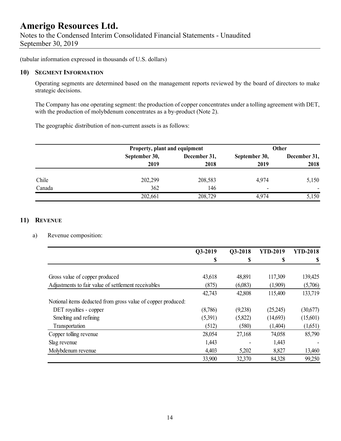Notes to the Condensed Interim Consolidated Financial Statements - Unaudited September 30, 2019

(tabular information expressed in thousands of U.S. dollars)

#### **10) SEGMENT INFORMATION**

Operating segments are determined based on the management reports reviewed by the board of directors to make strategic decisions.

The Company has one operating segment: the production of copper concentrates under a tolling agreement with DET, with the production of molybdenum concentrates as a by-product (Note 2).

The geographic distribution of non-current assets is as follows:

|        | Property, plant and equipment |              |                          | <b>Other</b> |  |
|--------|-------------------------------|--------------|--------------------------|--------------|--|
|        | September 30,                 | December 31, | September 30,            | December 31, |  |
|        | 2019                          | 2018         | 2019                     | 2018         |  |
| Chile  | 202,299                       | 208,583      | 4,974                    | 5,150        |  |
| Canada | 362                           | 146          | $\overline{\phantom{0}}$ |              |  |
|        | 202,661                       | 208,729      | 4,974                    | 5,150        |  |

#### **11) REVENUE**

#### a) Revenue composition:

|                                                              | Q3-2019 | Q3-2018 | <b>YTD-2019</b> | <b>YTD-2018</b> |
|--------------------------------------------------------------|---------|---------|-----------------|-----------------|
|                                                              | \$      | S       | S               |                 |
|                                                              |         |         |                 |                 |
| Gross value of copper produced                               | 43,618  | 48,891  | 117,309         | 139,425         |
| Adjustments to fair value of settlement receivables          | (875)   | (6,083) | (1,909)         | (5,706)         |
|                                                              | 42,743  | 42,808  | 115,400         | 133,719         |
| Notional items deducted from gross value of copper produced: |         |         |                 |                 |
| DET royalties - copper                                       | (8,786) | (9,238) | (25,245)        | (30,677)        |
| Smelting and refining                                        | (5,391) | (5,822) | (14,693)        | (15,601)        |
| Transportation                                               | (512)   | (580)   | (1,404)         | (1,651)         |
| Copper tolling revenue                                       | 28,054  | 27,168  | 74,058          | 85,790          |
| Slag revenue                                                 | 1,443   |         | 1,443           |                 |
| Molybdenum revenue                                           | 4,403   | 5,202   | 8,827           | 13,460          |
|                                                              | 33,900  | 32,370  | 84,328          | 99,250          |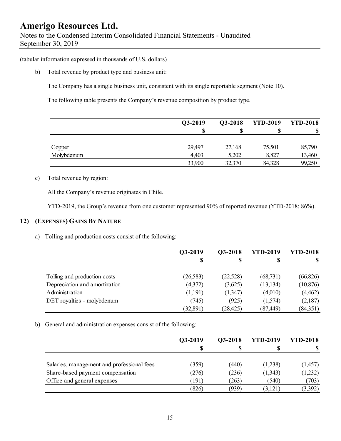(tabular information expressed in thousands of U.S. dollars)

b) Total revenue by product type and business unit:

The Company has a single business unit, consistent with its single reportable segment (Note 10).

The following table presents the Company's revenue composition by product type.

|            | Q3-2019 | Q3-2018 | <b>YTD-2019</b> | <b>YTD-2018</b> |
|------------|---------|---------|-----------------|-----------------|
|            | S       |         |                 |                 |
|            |         |         |                 |                 |
| Copper     | 29,497  | 27,168  | 75,501          | 85,790          |
| Molybdenum | 4,403   | 5,202   | 8,827           | 13,460          |
|            | 33,900  | 32,370  | 84,328          | 99,250          |

#### c) Total revenue by region:

All the Company's revenue originates in Chile.

YTD-2019, the Group's revenue from one customer represented 90% of reported revenue (YTD-2018: 86%).

### **12) (EXPENSES) GAINS BY NATURE**

a) Tolling and production costs consist of the following:

|                               | Q3-2019  | Q3-2018   | <b>YTD-2019</b> | <b>YTD-2018</b> |
|-------------------------------|----------|-----------|-----------------|-----------------|
|                               | S        | S         | S               |                 |
|                               |          |           |                 |                 |
| Tolling and production costs  | (26,583) | (22,528)  | (68, 731)       | (66, 826)       |
| Depreciation and amortization | (4,372)  | (3,625)   | (13, 134)       | (10, 876)       |
| Administration                | (1,191)  | (1,347)   | (4,010)         | (4, 462)        |
| DET royalties - molybdenum    | (745)    | (925)     | (1,574)         | (2,187)         |
|                               | (32,891) | (28, 425) | (87, 449)       | (84,351)        |

b) General and administration expenses consist of the following:

|                                            | Q3-2019 | Q3-2018 | <b>YTD-2019</b> | <b>YTD-2018</b> |
|--------------------------------------------|---------|---------|-----------------|-----------------|
|                                            | S       |         |                 |                 |
|                                            |         |         |                 |                 |
| Salaries, management and professional fees | (359)   | (440)   | (1,238)         | (1,457)         |
| Share-based payment compensation           | (276)   | (236)   | (1,343)         | (1,232)         |
| Office and general expenses                | (191    | (263)   | (540)           | (703)           |
|                                            | (826)   | (939)   | (3,121)         | (3,392)         |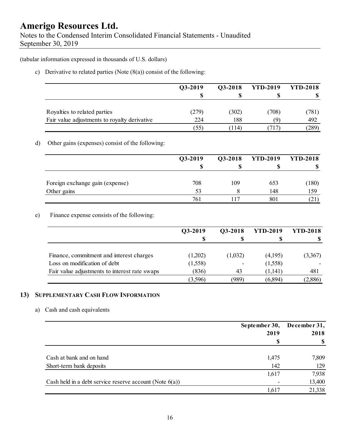Notes to the Condensed Interim Consolidated Financial Statements - Unaudited September 30, 2019

(tabular information expressed in thousands of U.S. dollars)

c) Derivative to related parties (Note  $(8(a))$  consist of the following:

|                                              | O3-2019 | Q3-2018 | <b>YTD-2019</b> | <b>YTD-2018</b> |
|----------------------------------------------|---------|---------|-----------------|-----------------|
|                                              |         |         |                 |                 |
| Royalties to related parties                 | (279)   | (302)   | (708)           | (781)           |
| Fair value adjustments to royalty derivative | 224     | 188     | (9)             | 492             |
|                                              | (55)    | 114     | (717)           | (289)           |

#### d) Other gains (expenses) consist of the following:

|                                 | Q3-2019 | Q3-2018 | <b>YTD-2019</b> | <b>YTD-2018</b> |
|---------------------------------|---------|---------|-----------------|-----------------|
|                                 | S       |         |                 | ۱D              |
| Foreign exchange gain (expense) | 708     | 109     | 653             | (180)           |
| Other gains                     | 53      |         | 148             | 159             |
|                                 | 761     |         | 801             | (21)            |

#### e) Finance expense consists of the following:

|                                               | Q3-2019  | Q3-2018                  | <b>YTD-2019</b> | <b>YTD-2018</b> |
|-----------------------------------------------|----------|--------------------------|-----------------|-----------------|
|                                               |          |                          |                 |                 |
| Finance, commitment and interest charges      | (1,202)  | (1,032)                  | (4,195)         | (3,367)         |
| Loss on modification of debt                  | (1, 558) | $\overline{\phantom{0}}$ | (1,558)         |                 |
| Fair value adjustments to interest rate swaps | (836)    | 43                       | (1,141)         | 481             |
|                                               | (3,596)  | (989)                    | (6,894)         | (2,886)         |

### **13) SUPPLEMENTARY CASH FLOW INFORMATION**

#### a) Cash and cash equivalents

|                                                            | September 30, | December 31,  |      |
|------------------------------------------------------------|---------------|---------------|------|
|                                                            | 2019          |               | 2018 |
|                                                            | \$            | $\mathbf{\$}$ |      |
| Cash at bank and on hand                                   | 1,475         | 7,809         |      |
| Short-term bank deposits                                   | 142           | 129           |      |
|                                                            | 1,617         | 7,938         |      |
| Cash held in a debt service reserve account (Note $6(a)$ ) |               | 13,400        |      |
|                                                            | 1,617         | 21,338        |      |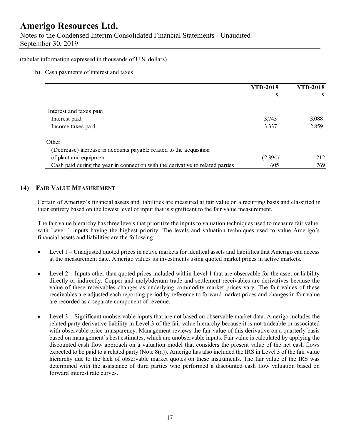Notes to the Condensed Interim Consolidated Financial Statements - Unaudited September 30, 2019

(tabular information expressed in thousands of U.S. dollars)

b) Cash payments of interest and taxes

|                                                                                | <b>YTD-2019</b> | <b>YTD-2018</b> |
|--------------------------------------------------------------------------------|-----------------|-----------------|
|                                                                                |                 |                 |
|                                                                                |                 |                 |
| Interest and taxes paid                                                        |                 |                 |
| Interest paid                                                                  | 3,743           | 3,088           |
| Income taxes paid                                                              | 3,337           | 2,859           |
| Other                                                                          |                 |                 |
| (Decrease) increase in accounts payable related to the acquisition             |                 |                 |
| of plant and equipment                                                         | (2,394)         | 212             |
| Cash paid during the year in connection with the derivative to related parties | 605             | 769             |

#### **14) FAIR VALUE MEASUREMENT**

Certain of Amerigo's financial assets and liabilities are measured at fair value on a recurring basis and classified in their entirety based on the lowest level of input that is significant to the fair value measurement.

The fair value hierarchy has three levels that prioritize the inputs to valuation techniques used to measure fair value, with Level 1 inputs having the highest priority. The levels and valuation techniques used to value Amerigo's financial assets and liabilities are the following:

- Level 1 Unadjusted quoted prices in active markets for identical assets and liabilities that Amerigo can access at the measurement date. Amerigo values its investments using quoted market prices in active markets.
- $\bullet$  Level 2 Inputs other than quoted prices included within Level 1 that are observable for the asset or liability directly or indirectly. Copper and molybdenum trade and settlement receivables are derivatives because the value of these receivables changes as underlying commodity market prices vary. The fair values of these receivables are adjusted each reporting period by reference to forward market prices and changes in fair value are recorded as a separate component of revenue.
- Level 3 Significant unobservable inputs that are not based on observable market data. Amerigo includes the related party derivative liability in Level 3 of the fair value hierarchy because it is not tradeable or associated with observable price transparency. Management reviews the fair value of this derivative on a quarterly basis based on management's best estimates, which are unobservable inputs. Fair value is calculated by applying the discounted cash flow approach on a valuation model that considers the present value of the net cash flows expected to be paid to a related party (Note 8(a)). Amerigo has also included the IRS in Level 3 of the fair value hierarchy due to the lack of observable market quotes on these instruments. The fair value of the IRS was determined with the assistance of third parties who performed a discounted cash flow valuation based on forward interest rate curves.